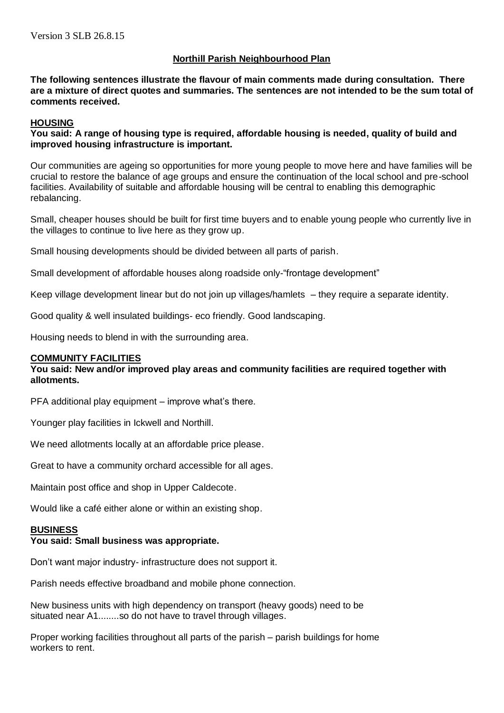# **Northill Parish Neighbourhood Plan**

**The following sentences illustrate the flavour of main comments made during consultation. There are a mixture of direct quotes and summaries. The sentences are not intended to be the sum total of comments received.**

# **HOUSING**

**You said: A range of housing type is required, affordable housing is needed, quality of build and improved housing infrastructure is important.**

Our communities are ageing so opportunities for more young people to move here and have families will be crucial to restore the balance of age groups and ensure the continuation of the local school and pre-school facilities. Availability of suitable and affordable housing will be central to enabling this demographic rebalancing.

Small, cheaper houses should be built for first time buyers and to enable young people who currently live in the villages to continue to live here as they grow up.

Small housing developments should be divided between all parts of parish.

Small development of affordable houses along roadside only-"frontage development"

Keep village development linear but do not join up villages/hamlets – they require a separate identity.

Good quality & well insulated buildings- eco friendly. Good landscaping.

Housing needs to blend in with the surrounding area.

## **COMMUNITY FACILITIES**

## **You said: New and/or improved play areas and community facilities are required together with allotments.**

PFA additional play equipment – improve what's there.

Younger play facilities in Ickwell and Northill.

We need allotments locally at an affordable price please.

Great to have a community orchard accessible for all ages.

Maintain post office and shop in Upper Caldecote.

Would like a café either alone or within an existing shop.

# **BUSINESS**

## **You said: Small business was appropriate.**

Don't want major industry- infrastructure does not support it.

Parish needs effective broadband and mobile phone connection.

New business units with high dependency on transport (heavy goods) need to be situated near A1........so do not have to travel through villages.

Proper working facilities throughout all parts of the parish – parish buildings for home workers to rent.